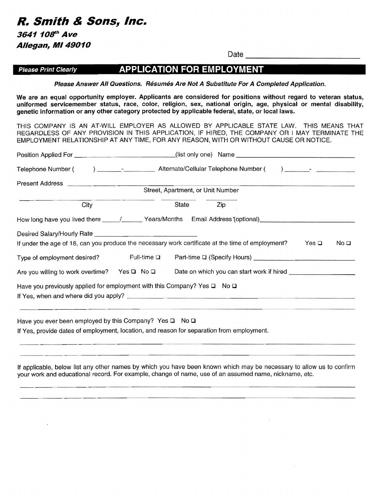**R. Smith & Sons, Inc.** 3641 108<sup>th</sup> Ave **Allegan, MI 49010** 

---------------------

# **Please Print Clearly APPLICATION FOR EMPLOYMENT**

**Please Answer All Questions. Resumes Are Not A Substitute For A Completed Application.** 

**We are an equal opportunity employer. Applicants are considered for positions without regard to veteran status, uniformed servicemember status, race, color, religion, sex, national origin, age, physical or mental disability, genetic information or any other category protected by applicable federal, state, or** local laws.

THIS COMPANY IS AN AT-WILL EMPLOYER AS ALLOWED BY APPLICABLE STATE LAW. THIS MEANS THAT REGARDLESS OF ANY PROVISION **IN** THIS APPLICATION, IF HIRED, THE COMPANY OR I MAY TERMINATE THE EMPLOYMENT RELATIONSHIP AT ANY TIME, FOR ANY REASON, WITH OR WITHOUT CAUSE OR NOTICE.

| Present Address and the control of the control of the control of the control of the control of the control of the control of the control of the control of the control of the control of the control of the control of the con |                     | Street, Apartment, or Unit Number |            |       |                 |
|--------------------------------------------------------------------------------------------------------------------------------------------------------------------------------------------------------------------------------|---------------------|-----------------------------------|------------|-------|-----------------|
| City                                                                                                                                                                                                                           |                     | State                             | <b>Zip</b> |       |                 |
| How long have you lived there _____/________Years/Months Email Address (optional)___________________                                                                                                                           |                     |                                   |            |       |                 |
|                                                                                                                                                                                                                                |                     |                                   |            |       |                 |
| If under the age of 18, can you produce the necessary work certificate at the time of employment?                                                                                                                              |                     |                                   |            | Yes Q | No <sub>Q</sub> |
| Type of employment desired?                                                                                                                                                                                                    | Full-time $\square$ |                                   |            |       |                 |
| Are you willing to work overtime? Yes Q No Q                                                                                                                                                                                   |                     |                                   |            |       |                 |
| Have you previously applied for employment with this Company? Yes $\square$ No $\square$                                                                                                                                       |                     |                                   |            |       |                 |
| Have you ever been employed by this Company? Yes $\Box$ No $\Box$<br>If Yes, provide dates of employment, location, and reason for separation from employment.                                                                 |                     |                                   |            |       |                 |

**If** applicable, below list any other names by which you have been known which may be necessary to allow us to confirm your work and educational record. For example, change of name, use of an assumed name, nickname, etc.

**Date \_\_\_\_\_\_\_\_\_\_\_\_**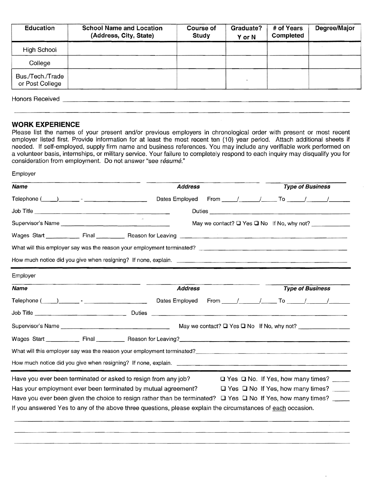| <b>Education</b>                    | <b>School Name and Location</b><br>(Address, City, State) | Course of<br>Study | Graduate?<br>Y or N | # of Years<br>Completed | Degree/Major |
|-------------------------------------|-----------------------------------------------------------|--------------------|---------------------|-------------------------|--------------|
| High School                         |                                                           |                    |                     |                         |              |
| College                             |                                                           |                    |                     |                         |              |
| Bus./Tech./Trade<br>or Post College |                                                           |                    |                     |                         |              |

Honors Received **Example 20** and 20 and 20 and 20 and 20 and 20 and 20 and 20 and 20 and 20 and 20 and 20 and 20

Employer

### **WORK EXPERIENCE**

Please list the names of your present and/or previous employers in chronological order with present or most recent employer listed first. Provide information for at least the most recent ten (10) year period. Attach additional sheets if needed. If self-employed, supply firm name and business references. You may include any verifiable work performed on a volunteer basis, internships, or military service. Your failure to completely respond to each inquiry may disqualify you for consideration from employment. Do not answer "see résumé."

| <b>Name</b>                                                                                                                                                                                                                                                                                                                                                        | <b>Address</b>                                                                                                                                                                                                                 | <b>Type of Business</b>                                    |
|--------------------------------------------------------------------------------------------------------------------------------------------------------------------------------------------------------------------------------------------------------------------------------------------------------------------------------------------------------------------|--------------------------------------------------------------------------------------------------------------------------------------------------------------------------------------------------------------------------------|------------------------------------------------------------|
| $\begin{picture}(150,10) \put(0,0){\vector(1,0){100}} \put(15,0){\vector(1,0){100}} \put(15,0){\vector(1,0){100}} \put(15,0){\vector(1,0){100}} \put(15,0){\vector(1,0){100}} \put(15,0){\vector(1,0){100}} \put(15,0){\vector(1,0){100}} \put(15,0){\vector(1,0){100}} \put(15,0){\vector(1,0){100}} \put(15,0){\vector(1,0){100}} \put(15,0){\vector(1,0){100}}$ | Dates Employed                                                                                                                                                                                                                 | From _____/ _______/ ______ To _______/ _______/ _________ |
|                                                                                                                                                                                                                                                                                                                                                                    |                                                                                                                                                                                                                                |                                                            |
|                                                                                                                                                                                                                                                                                                                                                                    |                                                                                                                                                                                                                                | May we contact? $\Box$ Yes $\Box$ No If No, why not?       |
|                                                                                                                                                                                                                                                                                                                                                                    |                                                                                                                                                                                                                                |                                                            |
|                                                                                                                                                                                                                                                                                                                                                                    |                                                                                                                                                                                                                                |                                                            |
|                                                                                                                                                                                                                                                                                                                                                                    |                                                                                                                                                                                                                                |                                                            |
| Employer                                                                                                                                                                                                                                                                                                                                                           |                                                                                                                                                                                                                                |                                                            |
| <b>Name</b>                                                                                                                                                                                                                                                                                                                                                        | <b>Address</b>                                                                                                                                                                                                                 | <b>Type of Business</b>                                    |
|                                                                                                                                                                                                                                                                                                                                                                    | Dates Employed                                                                                                                                                                                                                 |                                                            |
|                                                                                                                                                                                                                                                                                                                                                                    |                                                                                                                                                                                                                                |                                                            |
| Supervisor's Name <b>Community</b> Contract and Community Contract of the Contract of the Contract of the Contract of the Contract of the Contract of the Contract of the Contract of the Contract of the Contract of the Contract                                                                                                                                 |                                                                                                                                                                                                                                | May we contact? Q Yes Q No If No, why not?                 |
|                                                                                                                                                                                                                                                                                                                                                                    |                                                                                                                                                                                                                                |                                                            |
|                                                                                                                                                                                                                                                                                                                                                                    | What will this employer say was the reason your employment terminated? [1997] [2009] [2009] [2009] [2009] [2009] [2009] [2009] [2009] [2009] [2009] [2009] [2009] [2009] [2009] [2009] [2009] [2009] [2009] [2009] [2009] [200 |                                                            |
|                                                                                                                                                                                                                                                                                                                                                                    |                                                                                                                                                                                                                                |                                                            |
| Have you ever been terminated or asked to resign from any job?                                                                                                                                                                                                                                                                                                     |                                                                                                                                                                                                                                | $\Box$ Yes $\Box$ No. If Yes, how many times? _____        |
|                                                                                                                                                                                                                                                                                                                                                                    | Has your employment ever been terminated by mutual agreement?                                                                                                                                                                  | $\Box$ Yes $\Box$ No If Yes, how many times?               |
|                                                                                                                                                                                                                                                                                                                                                                    | Have you ever been given the choice to resign rather than be terminated? $\Box$ Yes $\Box$ No If Yes, how many times?                                                                                                          |                                                            |
|                                                                                                                                                                                                                                                                                                                                                                    | If you answered Yes to any of the above three questions, please explain the circumstances of each occasion.                                                                                                                    |                                                            |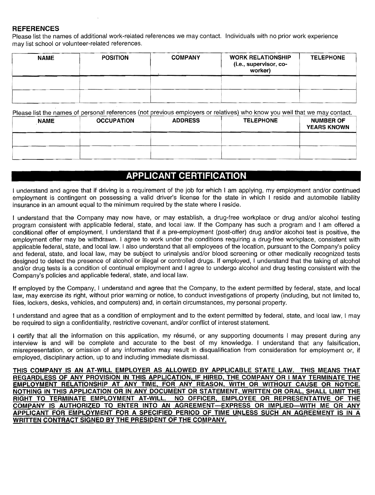### **REFERENCES**

Please list the names of additional work-related references we may contact. Individuals with no prior work experience may list school or volunteer-related references.

| <b>NAME</b> | <b>POSITION</b> | <b>COMPANY</b> | <b>WORK RELATIONSHIP</b><br>(i.e., supervisor, co-<br>worker) | <b>TELEPHONE</b> |
|-------------|-----------------|----------------|---------------------------------------------------------------|------------------|
|             |                 |                |                                                               |                  |
|             |                 |                |                                                               |                  |

Please list the names of personal references (not previous employers or relatives) who know you well that we may contact.

| <b>NAME</b> | <b>OCCUPATION</b> | <b>ADDRESS</b> | <b>TELEPHONE</b> | <b>NUMBER OF</b><br><b>YEARS KNOWN</b> |
|-------------|-------------------|----------------|------------------|----------------------------------------|
|             |                   |                |                  |                                        |
|             |                   |                |                  |                                        |
|             |                   |                |                  |                                        |

# **APPLICANT CERTIFICATION**

I understand and agree that if driving is a requirement of the job for which I am applying, my employment and/or continued employment is contingent on possessing a valid driver's license for the state in which I reside and automobile liability insurance in an amount equal to the minimum required by the state where I reside.

I understand that the Company may now have, or may establish, a drug-free workplace or drug and/or alcohol testing program consistent with applicable federal, state, and local law. If the Company has such a program and I am offered a conditional offer of employment, I understand that if a pre-employment (post-offer) drug and/or alcohol test is positive, the employment offer may be withdrawn. I agree to work under the conditions requiring a drug-free workplace, consistent with applicable federal, state, and local law. I also understand that all employees of the location, pursuant to the Company's policy and federal, state, and local law, may be subject to urinalysis and/or blood screening or other medically recognized tests designed to detect the presence of alcohol or illegal or controlled drugs. If employed, I understand that the taking of alcohol and/or drug tests is a condition of continual employment and I agree to undergo alcohol and drug testing consistent with the Company's policies and applicable federal, state, and local law.

If employed by the Company, I understand and agree that the Company, to the extent permitted by federal, state, and local law, may exercise its right, without prior warning or notice, to conduct investigations of property (including, but not limited to, files, lockers, desks, vehicles, and computers) and, in certain circumstances, my personal property.

I understand and agree that as a condition of employment and to the extent permitted by federal, state, and local law, I may be required to sign a confidentiality, restrictive covenant, and/or conflict of interest statement.

I certify that all the information on this application, my résumé, or any supporting documents I may present during any interview is and will be complete and accurate to the best of my knowledge. I understand that any falSification, misrepresentation, or omission of any information may result in disqualification from consideration for employment or, if employed, disciplinary action, up to and including immediate dismissal.

THIS COMPANY IS AN AT-WILL EMPLOYER AS ALLOWED BY APPLICABLE STATE LAW. THIS MEANS THAT REGARDLESS OF ANY PROVISION IN THIS APPLICATION, IF HIRED, THE COMPANY OR I MAY TERMINATE THE EMPLOYMENT RELATIONSHIP AT ANY TIME, FOR ANY REASON, WITH OR WITHOUT CAUSE OR NOTICE. NOTHING IN THIS APPLICATION OR IN ANY DOCUMENT OR STATEMENT, WRITTEN OR ORAL, SHALL LIMIT THE RIGHT TO TERMINATE EMPLOYMENT AT-WILL. NO OFFICER, EMPLOYEE OR REPRESENTATIVE OF THE COMPANY IS AUTHORIZED TO ENTER INTO AN AGREEMENT-EXPRESS OR IMPLIED-WITH ME OR ANY APPLICANT FOR EMPLOYMENT FOR A SPECIFIED PERIOD OF TIME UNLESS SUCH AN AGREEMENT IS IN A WRITTEN CONTRACT SIGNED BY THE PRESIDENT OF THE COMPANY.